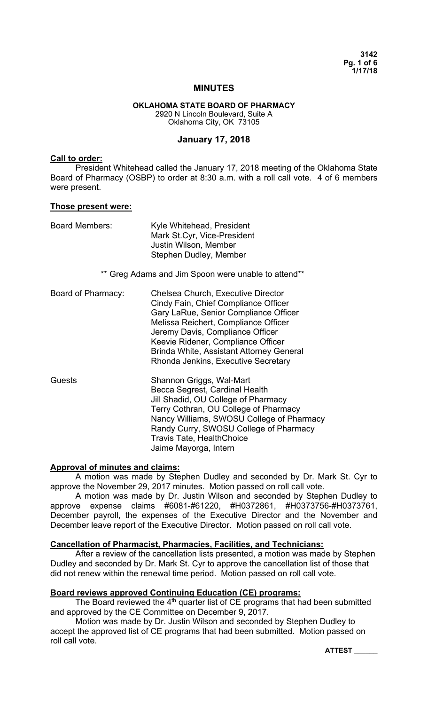**3142 Pg. 1 of 6 1/17/18** 

# **MINUTES**

#### **OKLAHOMA STATE BOARD OF PHARMACY**  2920 N Lincoln Boulevard, Suite A Oklahoma City, OK 73105

### **January 17, 2018**

### **Call to order:**

 President Whitehead called the January 17, 2018 meeting of the Oklahoma State Board of Pharmacy (OSBP) to order at 8:30 a.m. with a roll call vote. 4 of 6 members were present.

#### **Those present were:**

| <b>Board Members:</b>                               | Kyle Whitehead, President<br>Mark St.Cyr, Vice-President<br>Justin Wilson, Member<br>Stephen Dudley, Member                                                                                                                                                                                                              |  |  |  |
|-----------------------------------------------------|--------------------------------------------------------------------------------------------------------------------------------------------------------------------------------------------------------------------------------------------------------------------------------------------------------------------------|--|--|--|
| ** Greg Adams and Jim Spoon were unable to attend** |                                                                                                                                                                                                                                                                                                                          |  |  |  |
| Board of Pharmacy:                                  | Chelsea Church, Executive Director<br>Cindy Fain, Chief Compliance Officer<br>Gary LaRue, Senior Compliance Officer<br>Melissa Reichert, Compliance Officer<br>Jeremy Davis, Compliance Officer<br>Keevie Ridener, Compliance Officer<br>Brinda White, Assistant Attorney General<br>Rhonda Jenkins, Executive Secretary |  |  |  |
| Guests                                              | Shannon Griggs, Wal-Mart<br>Becca Segrest, Cardinal Health<br>Jill Shadid, OU College of Pharmacy<br>Terry Cothran, OU College of Pharmacy<br>Nancy Williams, SWOSU College of Pharmacy<br>Randy Curry, SWOSU College of Pharmacy<br><b>Travis Tate, HealthChoice</b><br>Jaime Mayorga, Intern                           |  |  |  |

### **Approval of minutes and claims:**

 A motion was made by Stephen Dudley and seconded by Dr. Mark St. Cyr to approve the November 29, 2017 minutes. Motion passed on roll call vote.

 A motion was made by Dr. Justin Wilson and seconded by Stephen Dudley to approve expense claims #6081-#61220, #H0372861, #H0373756-#H0373761, December payroll, the expenses of the Executive Director and the November and December leave report of the Executive Director. Motion passed on roll call vote.

### **Cancellation of Pharmacist, Pharmacies, Facilities, and Technicians:**

 After a review of the cancellation lists presented, a motion was made by Stephen Dudley and seconded by Dr. Mark St. Cyr to approve the cancellation list of those that did not renew within the renewal time period. Motion passed on roll call vote.

# **Board reviews approved Continuing Education (CE) programs:**

The Board reviewed the  $4<sup>th</sup>$  quarter list of CE programs that had been submitted and approved by the CE Committee on December 9, 2017.

Motion was made by Dr. Justin Wilson and seconded by Stephen Dudley to accept the approved list of CE programs that had been submitted. Motion passed on roll call vote.

**ATTEST \_\_\_\_\_\_**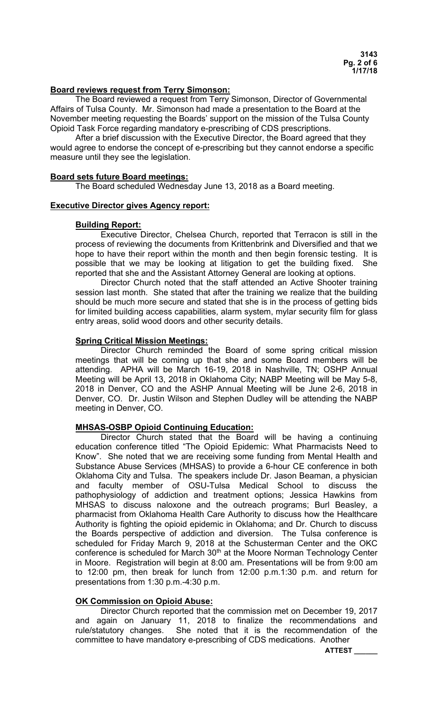# **Board reviews request from Terry Simonson:**

 The Board reviewed a request from Terry Simonson, Director of Governmental Affairs of Tulsa County. Mr. Simonson had made a presentation to the Board at the November meeting requesting the Boards' support on the mission of the Tulsa County Opioid Task Force regarding mandatory e-prescribing of CDS prescriptions.

 After a brief discussion with the Executive Director, the Board agreed that they would agree to endorse the concept of e-prescribing but they cannot endorse a specific measure until they see the legislation.

#### **Board sets future Board meetings:**

The Board scheduled Wednesday June 13, 2018 as a Board meeting.

### **Executive Director gives Agency report:**

### **Building Report:**

 Executive Director, Chelsea Church, reported that Terracon is still in the process of reviewing the documents from Krittenbrink and Diversified and that we hope to have their report within the month and then begin forensic testing. It is possible that we may be looking at litigation to get the building fixed. She reported that she and the Assistant Attorney General are looking at options.

 Director Church noted that the staff attended an Active Shooter training session last month. She stated that after the training we realize that the building should be much more secure and stated that she is in the process of getting bids for limited building access capabilities, alarm system, mylar security film for glass entry areas, solid wood doors and other security details.

# **Spring Critical Mission Meetings:**

 Director Church reminded the Board of some spring critical mission meetings that will be coming up that she and some Board members will be attending. APHA will be March 16-19, 2018 in Nashville, TN; OSHP Annual Meeting will be April 13, 2018 in Oklahoma City; NABP Meeting will be May 5-8, 2018 in Denver, CO and the ASHP Annual Meeting will be June 2-6, 2018 in Denver, CO. Dr. Justin Wilson and Stephen Dudley will be attending the NABP meeting in Denver, CO.

# **MHSAS-OSBP Opioid Continuing Education:**

 Director Church stated that the Board will be having a continuing education conference titled "The Opioid Epidemic: What Pharmacists Need to Know". She noted that we are receiving some funding from Mental Health and Substance Abuse Services (MHSAS) to provide a 6-hour CE conference in both Oklahoma City and Tulsa. The speakers include Dr. Jason Beaman, a physician and faculty member of OSU-Tulsa Medical School to discuss the pathophysiology of addiction and treatment options; Jessica Hawkins from MHSAS to discuss naloxone and the outreach programs; Burl Beasley, a pharmacist from Oklahoma Health Care Authority to discuss how the Healthcare Authority is fighting the opioid epidemic in Oklahoma; and Dr. Church to discuss the Boards perspective of addiction and diversion. The Tulsa conference is scheduled for Friday March 9, 2018 at the Schusterman Center and the OKC conference is scheduled for March 30<sup>th</sup> at the Moore Norman Technology Center in Moore. Registration will begin at 8:00 am. Presentations will be from 9:00 am to 12:00 pm, then break for lunch from 12:00 p.m.1:30 p.m. and return for presentations from 1:30 p.m.-4:30 p.m.

# **OK Commission on Opioid Abuse:**

 Director Church reported that the commission met on December 19, 2017 and again on January 11, 2018 to finalize the recommendations and rule/statutory changes. She noted that it is the recommendation of the committee to have mandatory e-prescribing of CDS medications. Another

**ATTEST \_\_\_\_\_\_**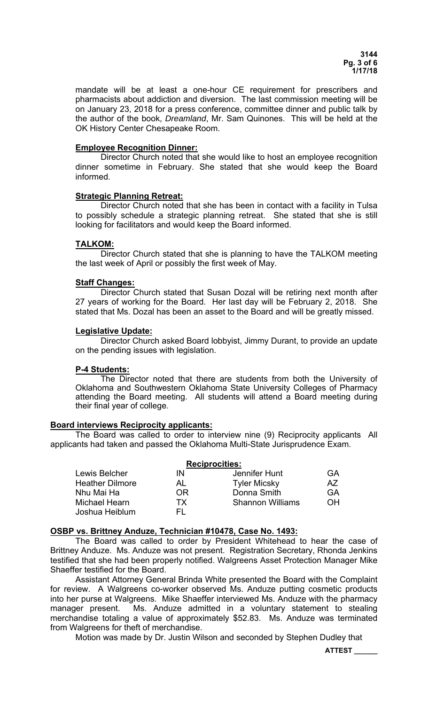mandate will be at least a one-hour CE requirement for prescribers and pharmacists about addiction and diversion. The last commission meeting will be on January 23, 2018 for a press conference, committee dinner and public talk by the author of the book, *Dreamland*, Mr. Sam Quinones. This will be held at the OK History Center Chesapeake Room.

# **Employee Recognition Dinner:**

 Director Church noted that she would like to host an employee recognition dinner sometime in February. She stated that she would keep the Board informed.

# **Strategic Planning Retreat:**

 Director Church noted that she has been in contact with a facility in Tulsa to possibly schedule a strategic planning retreat. She stated that she is still looking for facilitators and would keep the Board informed.

# **TALKOM:**

 Director Church stated that she is planning to have the TALKOM meeting the last week of April or possibly the first week of May.

# **Staff Changes:**

 Director Church stated that Susan Dozal will be retiring next month after 27 years of working for the Board. Her last day will be February 2, 2018. She stated that Ms. Dozal has been an asset to the Board and will be greatly missed.

# **Legislative Update:**

 Director Church asked Board lobbyist, Jimmy Durant, to provide an update on the pending issues with legislation.

# **P-4 Students:**

The Director noted that there are students from both the University of Oklahoma and Southwestern Oklahoma State University Colleges of Pharmacy attending the Board meeting. All students will attend a Board meeting during their final year of college.

# **Board interviews Reciprocity applicants:**

 The Board was called to order to interview nine (9) Reciprocity applicants All applicants had taken and passed the Oklahoma Multi-State Jurisprudence Exam.

|                        | <b>Reciprocities:</b> |                         |    |
|------------------------|-----------------------|-------------------------|----|
| Lewis Belcher          | IN                    | Jennifer Hunt           | GA |
| <b>Heather Dilmore</b> | AL                    | <b>Tyler Micsky</b>     | A/ |
| Nhu Mai Ha             | OR                    | Donna Smith             | GA |
| <b>Michael Hearn</b>   | TХ                    | <b>Shannon Williams</b> | OΗ |
| Joshua Heiblum         | H.                    |                         |    |

# **OSBP vs. Brittney Anduze, Technician #10478, Case No. 1493:**

 The Board was called to order by President Whitehead to hear the case of Brittney Anduze. Ms. Anduze was not present. Registration Secretary, Rhonda Jenkins testified that she had been properly notified. Walgreens Asset Protection Manager Mike Shaeffer testified for the Board.

 Assistant Attorney General Brinda White presented the Board with the Complaint for review. A Walgreens co-worker observed Ms. Anduze putting cosmetic products into her purse at Walgreens. Mike Shaeffer interviewed Ms. Anduze with the pharmacy manager present. Ms. Anduze admitted in a voluntary statement to stealing merchandise totaling a value of approximately \$52.83. Ms. Anduze was terminated from Walgreens for theft of merchandise.

Motion was made by Dr. Justin Wilson and seconded by Stephen Dudley that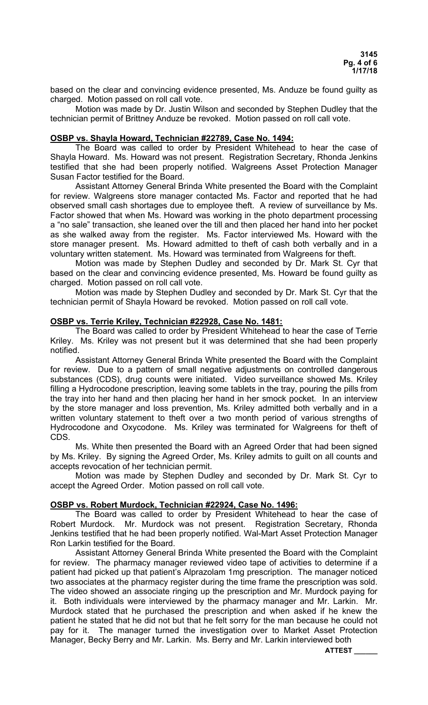based on the clear and convincing evidence presented, Ms. Anduze be found guilty as charged. Motion passed on roll call vote.

 Motion was made by Dr. Justin Wilson and seconded by Stephen Dudley that the technician permit of Brittney Anduze be revoked. Motion passed on roll call vote.

# **OSBP vs. Shayla Howard, Technician #22789, Case No. 1494:**

 The Board was called to order by President Whitehead to hear the case of Shayla Howard. Ms. Howard was not present. Registration Secretary, Rhonda Jenkins testified that she had been properly notified. Walgreens Asset Protection Manager Susan Factor testified for the Board.

 Assistant Attorney General Brinda White presented the Board with the Complaint for review. Walgreens store manager contacted Ms. Factor and reported that he had observed small cash shortages due to employee theft. A review of surveillance by Ms. Factor showed that when Ms. Howard was working in the photo department processing a "no sale" transaction, she leaned over the till and then placed her hand into her pocket as she walked away from the register. Ms. Factor interviewed Ms. Howard with the store manager present. Ms. Howard admitted to theft of cash both verbally and in a voluntary written statement. Ms. Howard was terminated from Walgreens for theft.

 Motion was made by Stephen Dudley and seconded by Dr. Mark St. Cyr that based on the clear and convincing evidence presented, Ms. Howard be found guilty as charged. Motion passed on roll call vote.

 Motion was made by Stephen Dudley and seconded by Dr. Mark St. Cyr that the technician permit of Shayla Howard be revoked. Motion passed on roll call vote.

### **OSBP vs. Terrie Kriley, Technician #22928, Case No. 1481:**

 The Board was called to order by President Whitehead to hear the case of Terrie Kriley. Ms. Kriley was not present but it was determined that she had been properly notified.

 Assistant Attorney General Brinda White presented the Board with the Complaint for review. Due to a pattern of small negative adjustments on controlled dangerous substances (CDS), drug counts were initiated. Video surveillance showed Ms. Kriley filling a Hydrocodone prescription, leaving some tablets in the tray, pouring the pills from the tray into her hand and then placing her hand in her smock pocket. In an interview by the store manager and loss prevention, Ms. Kriley admitted both verbally and in a written voluntary statement to theft over a two month period of various strengths of Hydrocodone and Oxycodone. Ms. Kriley was terminated for Walgreens for theft of CDS.

 Ms. White then presented the Board with an Agreed Order that had been signed by Ms. Kriley. By signing the Agreed Order, Ms. Kriley admits to guilt on all counts and accepts revocation of her technician permit.

 Motion was made by Stephen Dudley and seconded by Dr. Mark St. Cyr to accept the Agreed Order. Motion passed on roll call vote.

# **OSBP vs. Robert Murdock, Technician #22924, Case No. 1496:**

 The Board was called to order by President Whitehead to hear the case of Robert Murdock. Mr. Murdock was not present. Registration Secretary, Rhonda Jenkins testified that he had been properly notified. Wal-Mart Asset Protection Manager Ron Larkin testified for the Board.

 Assistant Attorney General Brinda White presented the Board with the Complaint for review. The pharmacy manager reviewed video tape of activities to determine if a patient had picked up that patient's Alprazolam 1mg prescription. The manager noticed two associates at the pharmacy register during the time frame the prescription was sold. The video showed an associate ringing up the prescription and Mr. Murdock paying for it. Both individuals were interviewed by the pharmacy manager and Mr. Larkin. Mr. Murdock stated that he purchased the prescription and when asked if he knew the patient he stated that he did not but that he felt sorry for the man because he could not pay for it. The manager turned the investigation over to Market Asset Protection Manager, Becky Berry and Mr. Larkin. Ms. Berry and Mr. Larkin interviewed both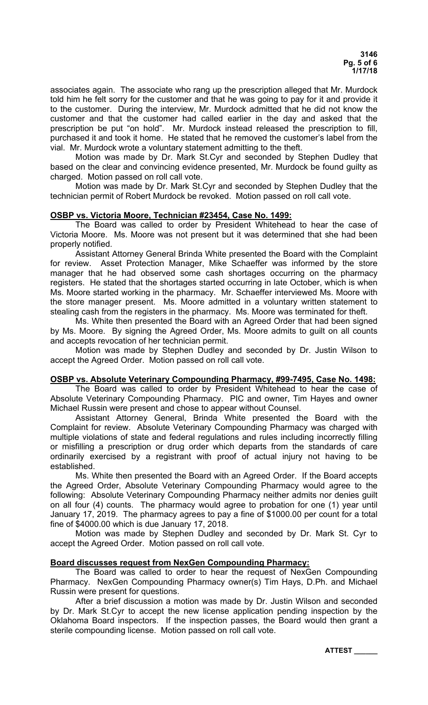associates again. The associate who rang up the prescription alleged that Mr. Murdock told him he felt sorry for the customer and that he was going to pay for it and provide it to the customer. During the interview, Mr. Murdock admitted that he did not know the customer and that the customer had called earlier in the day and asked that the prescription be put "on hold". Mr. Murdock instead released the prescription to fill, purchased it and took it home. He stated that he removed the customer's label from the vial. Mr. Murdock wrote a voluntary statement admitting to the theft.

 Motion was made by Dr. Mark St.Cyr and seconded by Stephen Dudley that based on the clear and convincing evidence presented, Mr. Murdock be found guilty as charged. Motion passed on roll call vote.

 Motion was made by Dr. Mark St.Cyr and seconded by Stephen Dudley that the technician permit of Robert Murdock be revoked. Motion passed on roll call vote.

# **OSBP vs. Victoria Moore, Technician #23454, Case No. 1499:**

 The Board was called to order by President Whitehead to hear the case of Victoria Moore. Ms. Moore was not present but it was determined that she had been properly notified.

 Assistant Attorney General Brinda White presented the Board with the Complaint for review. Asset Protection Manager, Mike Schaeffer was informed by the store manager that he had observed some cash shortages occurring on the pharmacy registers. He stated that the shortages started occurring in late October, which is when Ms. Moore started working in the pharmacy. Mr. Schaeffer interviewed Ms. Moore with the store manager present. Ms. Moore admitted in a voluntary written statement to stealing cash from the registers in the pharmacy. Ms. Moore was terminated for theft.

 Ms. White then presented the Board with an Agreed Order that had been signed by Ms. Moore. By signing the Agreed Order, Ms. Moore admits to guilt on all counts and accepts revocation of her technician permit.

 Motion was made by Stephen Dudley and seconded by Dr. Justin Wilson to accept the Agreed Order. Motion passed on roll call vote.

# **OSBP vs. Absolute Veterinary Compounding Pharmacy, #99-7495, Case No. 1498:**

 The Board was called to order by President Whitehead to hear the case of Absolute Veterinary Compounding Pharmacy. PIC and owner, Tim Hayes and owner Michael Russin were present and chose to appear without Counsel.

 Assistant Attorney General, Brinda White presented the Board with the Complaint for review. Absolute Veterinary Compounding Pharmacy was charged with multiple violations of state and federal regulations and rules including incorrectly filling or misfilling a prescription or drug order which departs from the standards of care ordinarily exercised by a registrant with proof of actual injury not having to be established.

 Ms. White then presented the Board with an Agreed Order. If the Board accepts the Agreed Order, Absolute Veterinary Compounding Pharmacy would agree to the following: Absolute Veterinary Compounding Pharmacy neither admits nor denies guilt on all four (4) counts. The pharmacy would agree to probation for one (1) year until January 17, 2019. The pharmacy agrees to pay a fine of \$1000.00 per count for a total fine of \$4000.00 which is due January 17, 2018.

 Motion was made by Stephen Dudley and seconded by Dr. Mark St. Cyr to accept the Agreed Order. Motion passed on roll call vote.

# **Board discusses request from NexGen Compounding Pharmacy:**

 The Board was called to order to hear the request of NexGen Compounding Pharmacy. NexGen Compounding Pharmacy owner(s) Tim Hays, D.Ph. and Michael Russin were present for questions.

 After a brief discussion a motion was made by Dr. Justin Wilson and seconded by Dr. Mark St.Cyr to accept the new license application pending inspection by the Oklahoma Board inspectors. If the inspection passes, the Board would then grant a sterile compounding license. Motion passed on roll call vote.

**ATTEST \_\_\_\_\_\_**